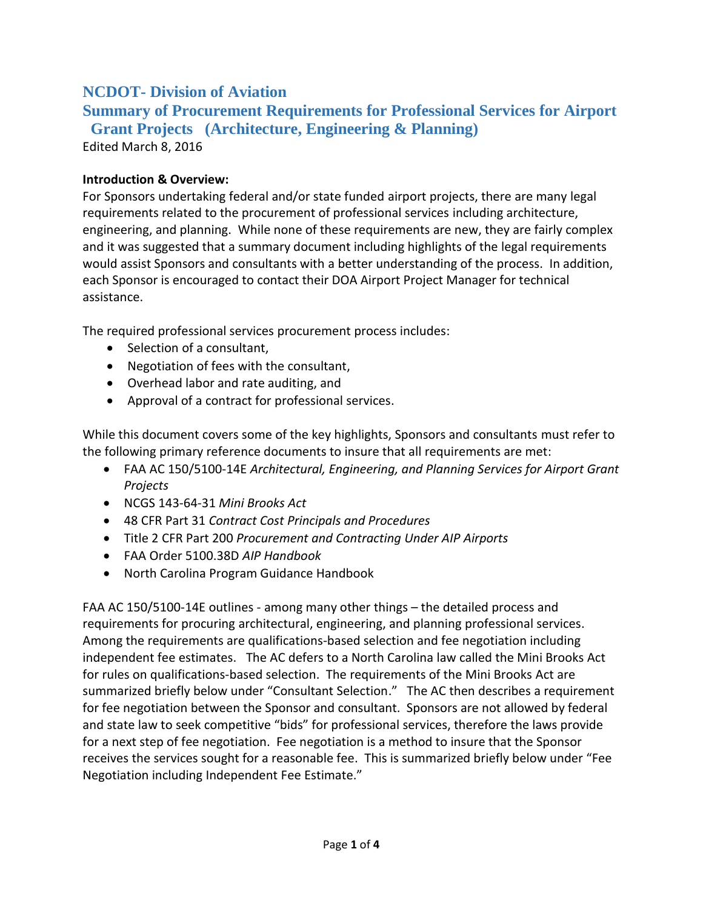## **NCDOT- Division of Aviation**

**Summary of Procurement Requirements for Professional Services for Airport Grant Projects (Architecture, Engineering & Planning)**

Edited March 8, 2016

## **Introduction & Overview:**

For Sponsors undertaking federal and/or state funded airport projects, there are many legal requirements related to the procurement of professional services including architecture, engineering, and planning. While none of these requirements are new, they are fairly complex and it was suggested that a summary document including highlights of the legal requirements would assist Sponsors and consultants with a better understanding of the process. In addition, each Sponsor is encouraged to contact their DOA Airport Project Manager for technical assistance.

The required professional services procurement process includes:

- Selection of a consultant,
- Negotiation of fees with the consultant,
- Overhead labor and rate auditing, and
- Approval of a contract for professional services.

While this document covers some of the key highlights, Sponsors and consultants must refer to the following primary reference documents to insure that all requirements are met:

- FAA AC 150/5100-14E *Architectural, Engineering, and Planning Services for Airport Grant Projects*
- NCGS 143-64-31 *Mini Brooks Act*
- 48 CFR Part 31 *Contract Cost Principals and Procedures*
- Title 2 CFR Part 200 *Procurement and Contracting Under AIP Airports*
- FAA Order 5100.38D *AIP Handbook*
- North Carolina Program Guidance Handbook

FAA AC 150/5100-14E outlines - among many other things – the detailed process and requirements for procuring architectural, engineering, and planning professional services. Among the requirements are qualifications-based selection and fee negotiation including independent fee estimates. The AC defers to a North Carolina law called the Mini Brooks Act for rules on qualifications-based selection. The requirements of the Mini Brooks Act are summarized briefly below under "Consultant Selection." The AC then describes a requirement for fee negotiation between the Sponsor and consultant. Sponsors are not allowed by federal and state law to seek competitive "bids" for professional services, therefore the laws provide for a next step of fee negotiation. Fee negotiation is a method to insure that the Sponsor receives the services sought for a reasonable fee. This is summarized briefly below under "Fee Negotiation including Independent Fee Estimate."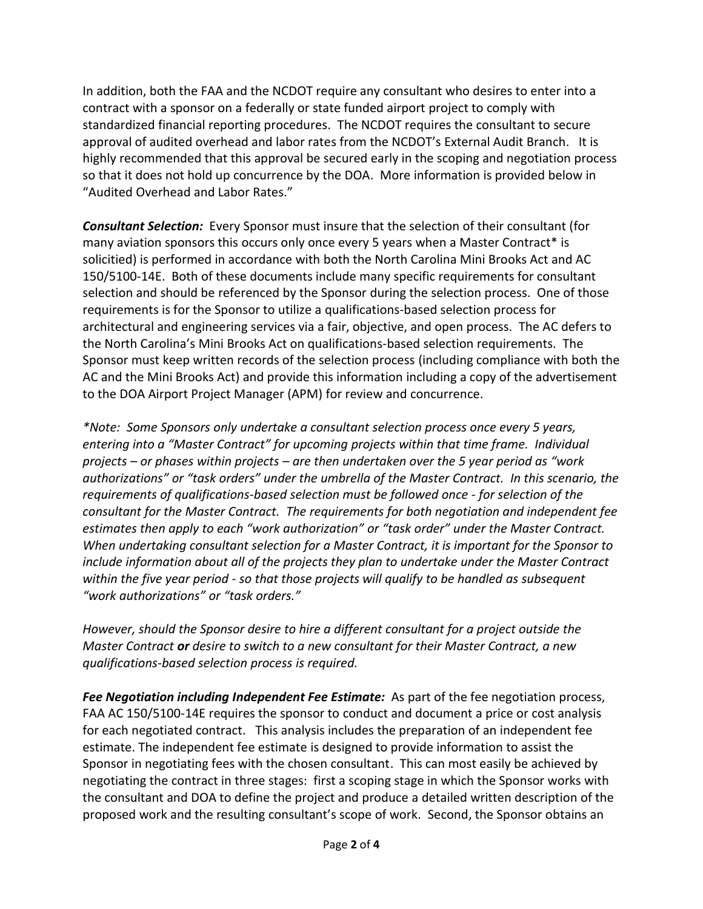In addition, both the FAA and the NCDOT require any consultant who desires to enter into a contract with a sponsor on a federally or state funded airport project to comply with standardized financial reporting procedures. The NCDOT requires the consultant to secure approval of audited overhead and labor rates from the NCDOT's External Audit Branch. It is highly recommended that this approval be secured early in the scoping and negotiation process so that it does not hold up concurrence by the DOA. More information is provided below in "Audited Overhead and Labor Rates."

*Consultant Selection:* Every Sponsor must insure that the selection of their consultant (for many aviation sponsors this occurs only once every 5 years when a Master Contract\* is solicitied) is performed in accordance with both the North Carolina Mini Brooks Act and AC 150/5100-14E. Both of these documents include many specific requirements for consultant selection and should be referenced by the Sponsor during the selection process. One of those requirements is for the Sponsor to utilize a qualifications-based selection process for architectural and engineering services via a fair, objective, and open process. The AC defers to the North Carolina's Mini Brooks Act on qualifications-based selection requirements. The Sponsor must keep written records of the selection process (including compliance with both the AC and the Mini Brooks Act) and provide this information including a copy of the advertisement to the DOA Airport Project Manager (APM) for review and concurrence.

*\*Note: Some Sponsors only undertake a consultant selection process once every 5 years, entering into a "Master Contract" for upcoming projects within that time frame. Individual projects – or phases within projects – are then undertaken over the 5 year period as "work authorizations" or "task orders" under the umbrella of the Master Contract. In this scenario, the requirements of qualifications-based selection must be followed once - for selection of the consultant for the Master Contract. The requirements for both negotiation and independent fee estimates then apply to each "work authorization" or "task order" under the Master Contract. When undertaking consultant selection for a Master Contract, it is important for the Sponsor to include information about all of the projects they plan to undertake under the Master Contract within the five year period - so that those projects will qualify to be handled as subsequent "work authorizations" or "task orders."*

*However, should the Sponsor desire to hire a different consultant for a project outside the Master Contract or desire to switch to a new consultant for their Master Contract, a new qualifications-based selection process is required.*

*Fee Negotiation including Independent Fee Estimate:* As part of the fee negotiation process, FAA AC 150/5100-14E requires the sponsor to conduct and document a price or cost analysis for each negotiated contract. This analysis includes the preparation of an independent fee estimate. The independent fee estimate is designed to provide information to assist the Sponsor in negotiating fees with the chosen consultant. This can most easily be achieved by negotiating the contract in three stages: first a scoping stage in which the Sponsor works with the consultant and DOA to define the project and produce a detailed written description of the proposed work and the resulting consultant's scope of work. Second, the Sponsor obtains an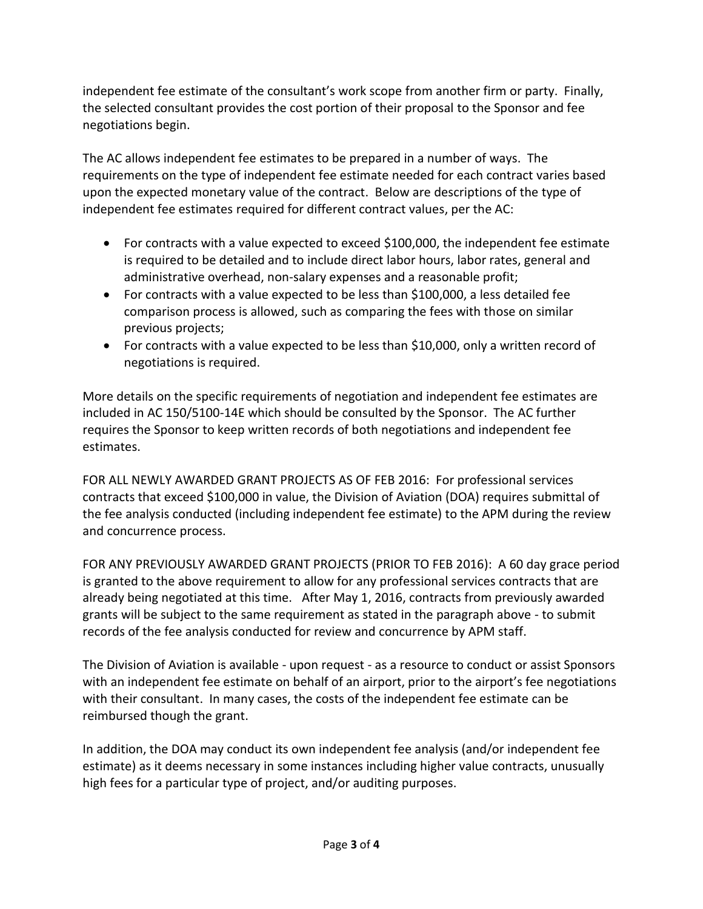independent fee estimate of the consultant's work scope from another firm or party. Finally, the selected consultant provides the cost portion of their proposal to the Sponsor and fee negotiations begin.

The AC allows independent fee estimates to be prepared in a number of ways. The requirements on the type of independent fee estimate needed for each contract varies based upon the expected monetary value of the contract. Below are descriptions of the type of independent fee estimates required for different contract values, per the AC:

- For contracts with a value expected to exceed \$100,000, the independent fee estimate is required to be detailed and to include direct labor hours, labor rates, general and administrative overhead, non-salary expenses and a reasonable profit;
- For contracts with a value expected to be less than \$100,000, a less detailed fee comparison process is allowed, such as comparing the fees with those on similar previous projects;
- For contracts with a value expected to be less than \$10,000, only a written record of negotiations is required.

More details on the specific requirements of negotiation and independent fee estimates are included in AC 150/5100-14E which should be consulted by the Sponsor. The AC further requires the Sponsor to keep written records of both negotiations and independent fee estimates.

FOR ALL NEWLY AWARDED GRANT PROJECTS AS OF FEB 2016: For professional services contracts that exceed \$100,000 in value, the Division of Aviation (DOA) requires submittal of the fee analysis conducted (including independent fee estimate) to the APM during the review and concurrence process.

FOR ANY PREVIOUSLY AWARDED GRANT PROJECTS (PRIOR TO FEB 2016): A 60 day grace period is granted to the above requirement to allow for any professional services contracts that are already being negotiated at this time. After May 1, 2016, contracts from previously awarded grants will be subject to the same requirement as stated in the paragraph above - to submit records of the fee analysis conducted for review and concurrence by APM staff.

The Division of Aviation is available - upon request - as a resource to conduct or assist Sponsors with an independent fee estimate on behalf of an airport, prior to the airport's fee negotiations with their consultant. In many cases, the costs of the independent fee estimate can be reimbursed though the grant.

In addition, the DOA may conduct its own independent fee analysis (and/or independent fee estimate) as it deems necessary in some instances including higher value contracts, unusually high fees for a particular type of project, and/or auditing purposes.